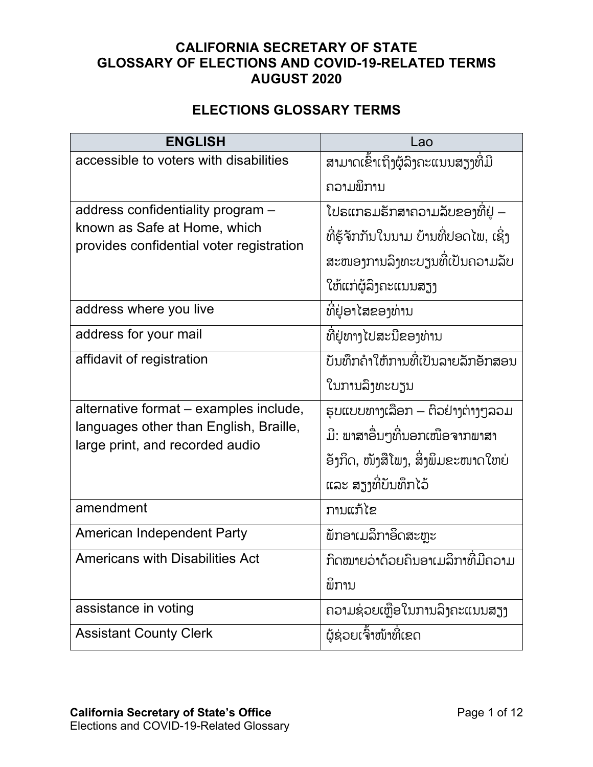## **CALIFORNIA SECRETARY OF STATE GLOSSARY OF ELECTIONS AND COVID-19-RELATED TERMS AUGUST 2020**

## **ELECTIONS GLOSSARY TERMS**

| <b>ENGLISH</b>                                                            | Lao                                   |
|---------------------------------------------------------------------------|---------------------------------------|
| accessible to voters with disabilities                                    | ສາມາດເຂົ້າເຖິງຜູ້ລຶງຄະແນນສຽງທີ່ມີ     |
|                                                                           | ຄວາມພິການ                             |
| address confidentiality program -                                         | ໂປຣແກຣມຮັກສາຄວາມລັບຂອງທີ່ຢູ່ –        |
| known as Safe at Home, which<br>provides confidential voter registration  | ທີ່ຮູ້ຈັກກັນໃນນາມ ບ້ານທີ່ປອດໄພ, ເຊິ່ງ |
|                                                                           | ສະໜອງການລຶງທະບຽນທີ່ເປັນຄວາມລັບ        |
|                                                                           | ໃຫ້ແກ່ຜູ້ລິງຄະແນນສຽງ                  |
| address where you live                                                    | ທີ່ຢູ່ອາໄສຂອງທ່ານ                     |
| address for your mail                                                     | ທີ່ຢູ່ທາງໄປສະນີຂອງທ່ານ                |
| affidavit of registration                                                 | ້ບັນທຶກຄຳໃຫ້ການທີ່ເປັນລາຍລັກອັກສອນ    |
|                                                                           | ໃນການລຶງທະບຽນ                         |
| alternative format - examples include,                                    | ຮູບແບບທາງເລືອກ – ຕົວຢ່າງຕ່າງໆລວມ      |
| languages other than English, Braille,<br>large print, and recorded audio | ມີ: ພາສາອື່ນໆທີ່ນອກເໜືອຈາກພາສາ        |
|                                                                           | ້ອັງກິດ, ໜັງສືໂພງ, ສິ່ງພິມຂະໜາດໃຫຍ່   |
|                                                                           | ແລະ ສຽງທີ່ບັນທຶກໄວ້                   |
| amendment                                                                 | ການແກ້ໄຂ                              |
| American Independent Party                                                | ພັກອາເມລິກາອິດສະຫຼະ                   |
| <b>Americans with Disabilities Act</b>                                    | ້ກົດໝາຍວ່າດ້ວຍຄືນອາເມລິກາທີ່ມີຄວາມ    |
|                                                                           | ພິການ                                 |
| assistance in voting                                                      | ຄວາມຊ່ວຍເຫຼືອໃນການລຶງຄະແນນສຽງ         |
| <b>Assistant County Clerk</b>                                             | ໍຜູ້ຊ່ວຍເຈົ້າໜ້າທີ່ເຂດ                |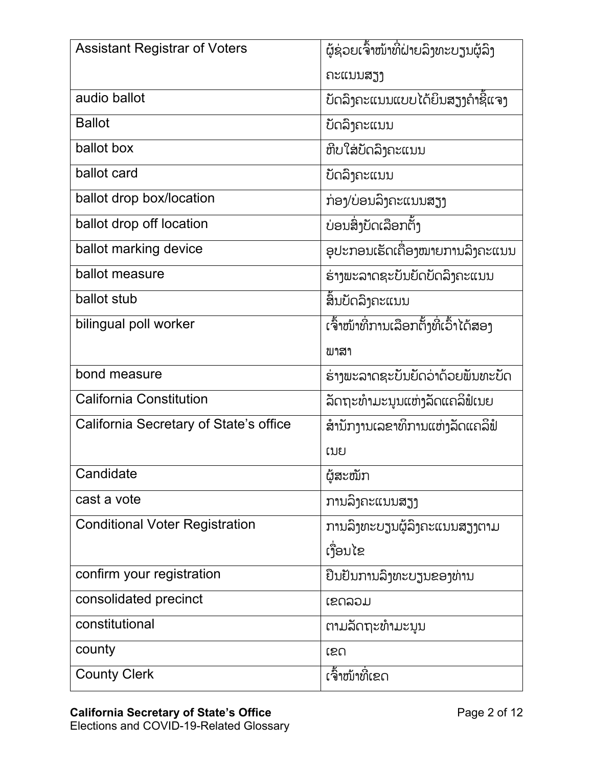| <b>Assistant Registrar of Voters</b>   | ້ຜູ້ຊ່ວຍເຈົ້າໜ້າທີ່ຝ່າຍລິງທະບຽນຜູ້ລິງ |
|----------------------------------------|---------------------------------------|
|                                        | ຄະແນນສຽງ                              |
| audio ballot                           | ບັດລິງຄະແນນແບບໄດ້ຍິນສຽງຄຳຊີ້ແຈງ       |
| <b>Ballot</b>                          | ບັດລິງຄະແນນ                           |
| ballot box                             | ຫີບໃສ່ບັດລິງຄະແນນ                     |
| ballot card                            | ບັດລິງຄະແນນ                           |
| ballot drop box/location               | ກ່ອງ/ບ່ອນລຶງຄະແນນສຽງ                  |
| ballot drop off location               | ບ່ອນສິ່ງບັດເລືອກຕັ້ງ                  |
| ballot marking device                  | ອຸປະກອນເຮັດເຄື່ອງໝາຍການລຶງຄະແນນ       |
| ballot measure                         | ຮ່າງພະລາດຊະບັນຍັດບັດລິງຄະແນນ          |
| ballot stub                            | ສິ້ນບັດລິງຄະແນນ                       |
| bilingual poll worker                  | ເຈົ້າໜ້າທີ່ການເລືອກຕັ້ງທີ່ເວົ້າໄດ້ສອງ |
|                                        | ພາສາ                                  |
| bond measure                           | ຮ່າງພະລາດຊະບັນຍັດວ່າດ້ວຍພັນທະບັດ      |
| <b>California Constitution</b>         | ້ລັດຖະທຳມະນຸນແຫ່ງລັດແຄລິຟໍເນຍ         |
| California Secretary of State's office | ສຳນັກງານເລຂາທິການແຫ່ງລັດແຄລິຟໍ        |
|                                        | ເນຍ                                   |
| Candidate                              | ຜູ້ສະໝັກ                              |
| cast a vote                            | ການລິງຄະແນນສຽງ                        |
| <b>Conditional Voter Registration</b>  | ການລິງທະບຽນຜູ້ລິງຄະແນນສຽງຕາມ          |
|                                        | ເງື່ອນໄຂ                              |
| confirm your registration              | ຢືນຢັນການລິງທະບຽນຂອງທ່ານ              |
| consolidated precinct                  | ເຂດລວມ                                |
| constitutional                         | ຕາມລັດຖະທຳມະນຸນ                       |
| county                                 | ເຂດ                                   |
| <b>County Clerk</b>                    | ເຈົ້າໜ້າທີ່ເຂດ                        |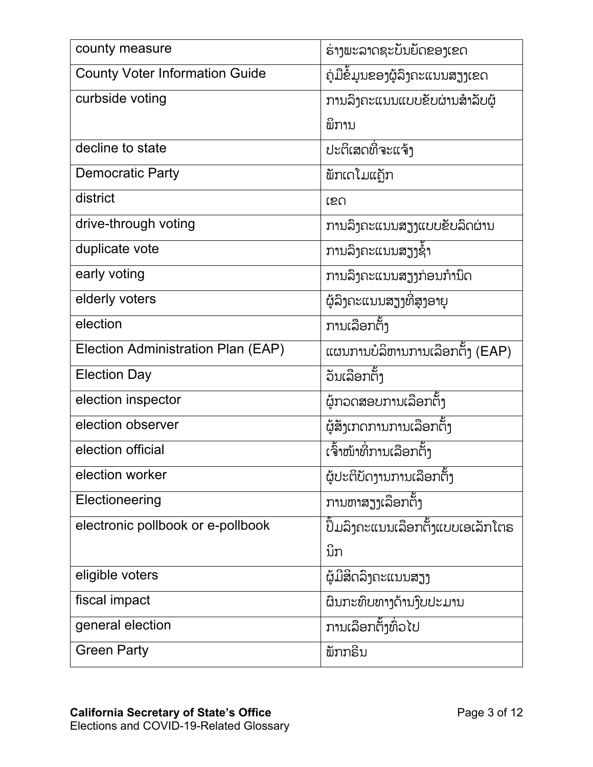| county measure                        | ຮ່າງພະລາດຊະບັນຍັດຂອງເຂດ                 |
|---------------------------------------|-----------------------------------------|
| <b>County Voter Information Guide</b> | ົ <u>ດມືຂໍ້</u> ມູນຂອງຜູ້ລິງຄະແນນສຽງເຂດ |
| curbside voting                       | ການລຶງຄະແນນແບບຂັບຜ່ານສໍາລັບຜູ້          |
|                                       | ພິການ                                   |
| decline to state                      | ປະຕິເສດທີ່ຈະແຈ້ງ                        |
| <b>Democratic Party</b>               | ້ພັກເດໂມແຄຼັກ                           |
| district                              | ເຂດ                                     |
| drive-through voting                  | ການລຶງຄະແນນສຽງແບບຂັບລົດຜ່ານ             |
| duplicate vote                        | ການລົງຄະແນນສຽງຊ້ຳ                       |
| early voting                          | ການລຶງຄະແນນສຽງກ່ອນກຳນຶດ                 |
| elderly voters                        | ຜູ້ລິງຄະແນນສຽງທີ່ສູງອາຍຸ                |
| election                              | ການເລືອກຕັ້ງ                            |
| Election Administration Plan (EAP)    | ແຜນການບໍລິຫານການເລືອກຕັ້ງ (EAP)         |
| <b>Election Day</b>                   | ້ວນເລືອກຕັ້ງ                            |
| election inspector                    | ຜູ້ກວດສອບການເລືອກຕັ້ງ                   |
| election observer                     | ຜູ້ສັງເກດການການເລືອກຕັ້ງ                |
| election official                     | ເຈົ້າໜ້າທີ່ການເລືອກຕັ້ງ                 |
| election worker                       | ຜູ້ປະຕິບັດງານການເລືອກຕັ້ງ               |
| Electioneering                        | ການຫາສຽງເລືອກຕັ້ງ                       |
| electronic pollbook or e-pollbook     | ປຶ້ມລຶງຄະແນນເລືອກຕັ້ງແບບເອເລັກໂຕຣ       |
|                                       | ນິກ                                     |
| eligible voters                       | ໍຜຼ່ມີສິດລິງຄະແນນສຽງ                    |
| fiscal impact                         | ຜິນກະທົບທາງດ້ານງົບປະມານ                 |
| general election                      | ການເລືອກຕັ້ງທົ່ວໄປ                      |
| <b>Green Party</b>                    | ້ພັກກຣີນ                                |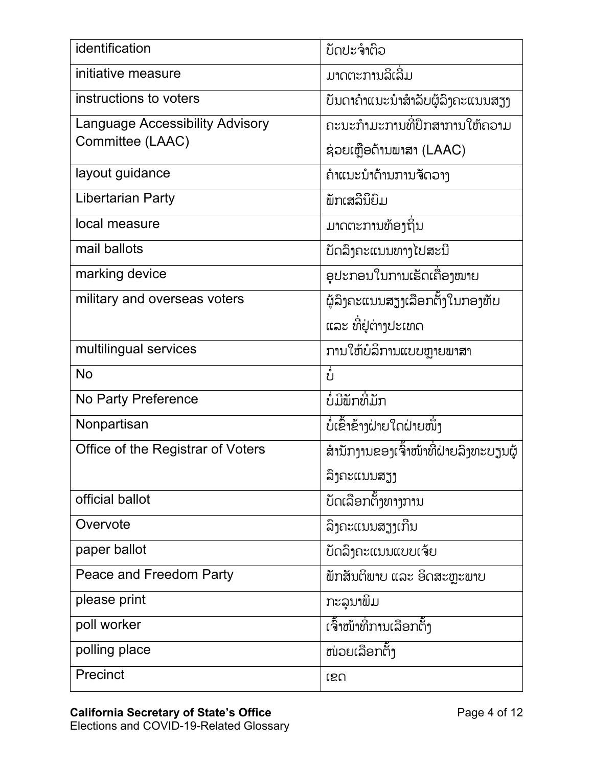| identification                         | ບັດປະຈຳຕິວ                            |
|----------------------------------------|---------------------------------------|
| initiative measure                     | ມາດຕະການລິເລີ່ມ                       |
| instructions to voters                 | ບັນດາຄຳແນະນຳສຳລັບຜູ້ລິງຄະແນນສຽງ       |
| <b>Language Accessibility Advisory</b> | ຄະນະກຳມະການທີ່ປຶກສາການໃຫ້ຄວາມ         |
| Committee (LAAC)                       | ຊ່ວຍເຫຼືອດ້ານພາສາ (LAAC)              |
| layout guidance                        | ຄຳແນະນຳດ້ານການຈັດວາງ                  |
| <b>Libertarian Party</b>               | ້ພັກເສລີນິຍົມ                         |
| local measure                          | ມາດຕະການທ້ອງຖິ່ນ                      |
| mail ballots                           | ບັດລິງຄະແນນທາງໄປສະນີ                  |
| marking device                         | ອຸປະກອນໃນການເຮັດເຄື່ອງໝາຍ             |
| military and overseas voters           | ຜູ້ລິງຄະແນນສຽງເລື້ອກຕັ້ງໃນກອງທັບ      |
|                                        | ແລະ ທີ່ຢູ່ຕ່າງປະເທດ                   |
| multilingual services                  | ການໃຫ້ບໍລິການແບບຫຼາຍພາສາ              |
| <b>No</b>                              | ບໍ່                                   |
| <b>No Party Preference</b>             | ບໍ່ມີພັກທີ່ມັກ                        |
| Nonpartisan                            | ບໍ່ເຂົ້າຂ້າງຝ່າຍໃດຝ່າຍໜຶ່ງ            |
| Office of the Registrar of Voters      | ສຳນັກງານຂອງເຈົ້າໜ້າທີ່ຝ່າຍລຶງທະບຽນຜູ້ |
|                                        | ລິງຄະແນນສຽງ                           |
| official ballot                        | ້ບັດເລືອກຕັ້ງທາງການ                   |
| Overvote                               | ລິງຄະແນນສຽງເກີນ                       |
| paper ballot                           | ບ້ດລິງຄະແນນແບບເຈ້ຍ                    |
| Peace and Freedom Party                | ້ພັກສັນຕິພາບ ແລະ ອິດສະຫຼະພາບ          |
| please print                           | ກະລຸນາພິມ                             |
| poll worker                            | ເຈົ້າໜ້າທີ່ການເລືອກຕັ້ງ               |
| polling place                          | ໜ່ວຍເລືອກຕັ້ງ                         |
|                                        |                                       |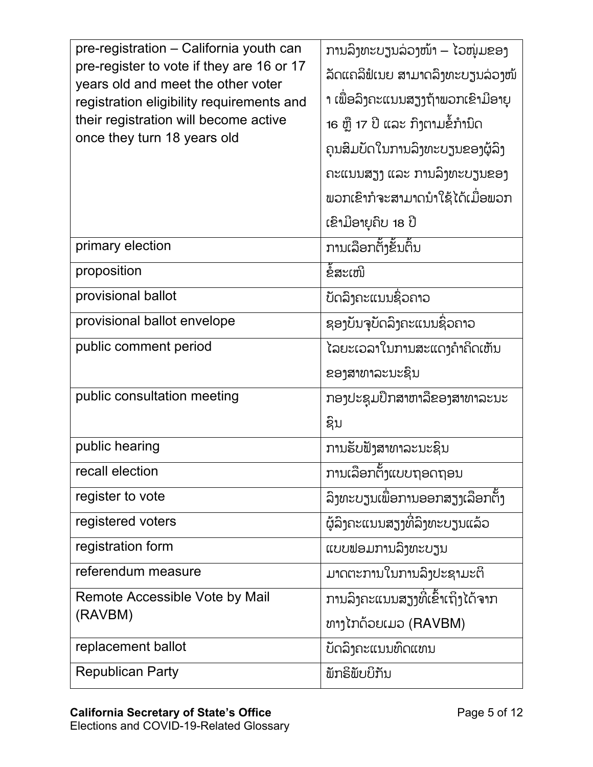| pre-registration - California youth can                                         | ການລຶງທະບຽນລ່ວງໜ້າ – ໄວໜຸ່ມຂອງ     |
|---------------------------------------------------------------------------------|------------------------------------|
| pre-register to vote if they are 16 or 17<br>years old and meet the other voter | ້ລັດແຄລິຟໍເນຍ ສາມາດລຶງທະບຽນລ່ວງໜ້  |
| registration eligibility requirements and                                       | າ ເພື່ອລຶງຄະແນນສຽງຖ້າພວກເຂົາມີອາຍຸ |
| their registration will become active                                           | 16 ຫຼື 17 ປີ ແລະ ກຶງຕາມຂໍ້ກຳນຶດ    |
| once they turn 18 years old                                                     | ຄຸນສິມບັດໃນການລິງທະບຽນຂອງຜູ້ລິງ    |
|                                                                                 | ຄະແນນສຽງ ແລະ ການລຶງທະບຽນຂອງ        |
|                                                                                 | ພວກເຂົາກໍຈະສາມາດນໍາໃຊ້ໄດ້ເມື່ອພວກ  |
|                                                                                 | ເຂົາມີອາຍຸຄິບ 18 ປີ                |
|                                                                                 |                                    |
| primary election                                                                | ການເລືອກຕ້ໍາຂັ້ນຕົ້ນ               |
| proposition                                                                     | ຂໍ້ສະເໜີ                           |
| provisional ballot                                                              | ບ້ດລິງຄະແນນຊົ່ວຄາວ                 |
| provisional ballot envelope                                                     | ຊອງບັນຈຸບັດລຶງຄະແນນຊົ່ວຄາວ         |
| public comment period                                                           | ໄລຍະເວລາໃນການສະແດງຄຳຄິດເຫັນ        |
|                                                                                 | ຂອງສາທາລະນະຊິນ                     |
| public consultation meeting                                                     | ກອງປະຊຸມປຶກສາຫາລືຂອງສາທາລະນະ       |
|                                                                                 | ຊຶນ                                |
| public hearing                                                                  | ການຮັບຟັງສາທາລະນະຊິນ               |
| recall election                                                                 | ້ການເລືອກຕັ້ງແບບຖອດຖອນ             |
| register to vote                                                                | ລິງທະບຽນເພື່ອການອອກສຽງເລືອກຕັ້ງ    |
| registered voters                                                               | ຜູ້ລິງຄະແນນສຽງທີ່ລິງທະບຽນແລ້ວ      |
| registration form                                                               | ແບບຟອມການລິງທະບຽນ                  |
| referendum measure                                                              | ມາດຕະການໃນການລຶງປະຊາມະຕິ           |
| Remote Accessible Vote by Mail                                                  | ການລຶງຄະແນນສຽງທີ່ເຂົ້າເຖິງໄດ້ຈາກ   |
| (RAVBM)                                                                         | ທາງໄກດ້ວຍເມວ (RAVBM)               |
| replacement ballot                                                              | ບັດລິງຄະແນນທົດແທນ                  |
|                                                                                 |                                    |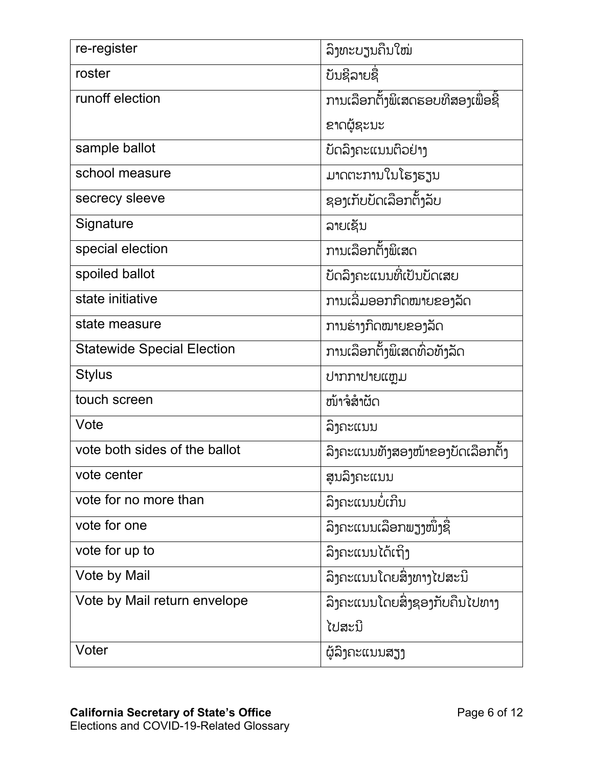| re-register                       | ລິງທະບຽນຄືນໃໝ່                    |
|-----------------------------------|-----------------------------------|
| roster                            | ບັນຊີລາຍຊື                        |
| runoff election                   | ການເລືອກຕ້ໍາພິເສດຮອບທີສອງເພື່ອຊີ້ |
|                                   | ຂາດຜູ້ຊະນະ                        |
| sample ballot                     | ບັດລິງຄະແນນຕິວຢ່າງ                |
| school measure                    | ມາດຕະການໃນໂຮງຮຽນ                  |
| secrecy sleeve                    | ຊອງເກັບບັດເລືອກຕັ້ງລັບ            |
| Signature                         | ລາຍເຊັນ                           |
| special election                  | ການເລືອກຕັ້ງພິເສດ                 |
| spoiled ballot                    | ້ບດລິງຄະແນນທີ່ເປັນບັດເສຍ          |
| state initiative                  | ການເລີ່ມອອກກົດໝາຍຂອງລັດ           |
| state measure                     | ການຮ່າງກິດໝາຍຂອງລັດ               |
| <b>Statewide Special Election</b> | ການເລືອກຕັ້ງພິເສດທົ່ວທັງລັດ       |
| <b>Stylus</b>                     | ปาກກາປາຍແຫຼມ                      |
| touch screen                      | ໜ້າຈໍສຳຜັດ                        |
| Vote                              | ລິງຄະແນນ                          |
| vote both sides of the ballot     | ລິງຄະແນນທັງສອງໜ້າຂອງບັດເລືອກຕັ້ງ  |
| vote center                       | ສູນລຶງຄະແນນ                       |
| vote for no more than             | ລິງຄະແນນບໍ່ເກີນ                   |
| vote for one                      | ລິງຄະແນນເລືອກພຽງໜຶ່ງຊື່           |
| vote for up to                    | ລິງຄະແນນໄດ້ເຖິງ                   |
| Vote by Mail                      | ໍລົງຄະແນນໂດຍສິ່ງທາງໄປສະນີ         |
| Vote by Mail return envelope      | ລິງຄະແນນໂດຍສິ່ງຊອງກັບຄືນໄປທາງ     |
|                                   | ໄປສະນີ                            |
| Voter                             | ຜູ້ລິງຄະແນນສຽງ                    |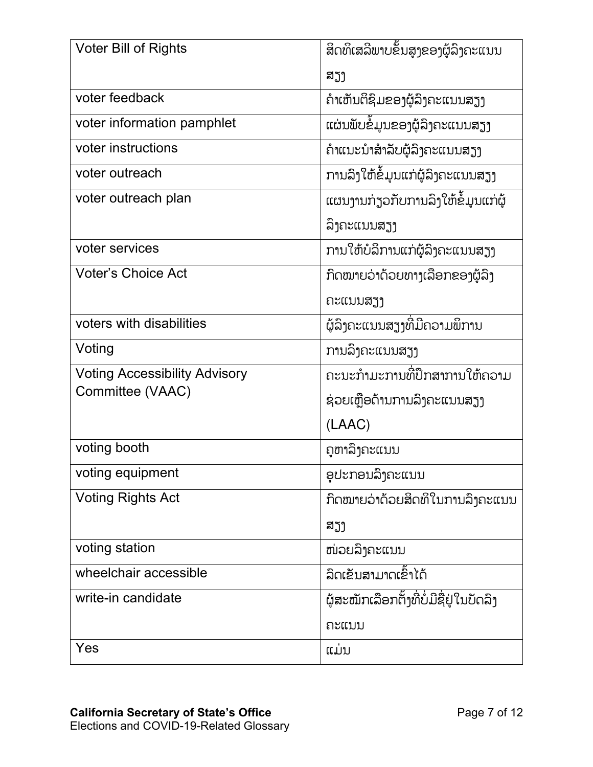| Voter Bill of Rights                 |                                         |
|--------------------------------------|-----------------------------------------|
|                                      | ສຽງ                                     |
| voter feedback                       | ຄຳເຫັນຕິຊິມຂອງຜູ້ລິງຄະແນນສຽງ            |
| voter information pamphlet           | ແຜ່ນພັບຂໍ້ມູນຂອງຜູ້ລິງຄະແນນສຽງ          |
| voter instructions                   | ຄຳແນະນຳສຳລັບຜູ້ລິງຄະແນນສຽງ              |
| voter outreach                       |                                         |
| voter outreach plan                  | ແຜນງານກ່ຽວກັບການລິງໃຫ້ຂໍ້ມູນແກ່ຜູ້      |
|                                      | ລິງຄະແນນສຽງ                             |
| voter services                       | ການໃຫ້ບໍລິການແກ່ຜູ້ລຶງຄະແນນສຽງ          |
| <b>Voter's Choice Act</b>            | ກິດໝາຍວ່າດ້ວຍທາງເລືອກຂອງຜູ້ລິງ          |
|                                      | ຄະແນນສຽງ                                |
| voters with disabilities             | ໍຜູ້ລຶງຄະແນນສຽງທີ່ມີຄວາມພິການ           |
| Voting                               | ການລຶງຄະແນນສຽງ                          |
| <b>Voting Accessibility Advisory</b> | ຄະນະກຳມະການທີ່ປຶກສາການໃຫ້ຄວາມ           |
| Committee (VAAC)                     | ຊ່ວຍເຫຼືອດ້ານການລົງຄະແນນສຽງ             |
|                                      | (LAAC)                                  |
| voting booth                         | ຄູຫາລຶງຄະແນນ                            |
| voting equipment                     | ອຸປະກອນລິງຄະແນນ                         |
| <b>Voting Rights Act</b>             | ກົດໝາຍວ່າດ້ວຍສິດທິໃນການລິງຄະແນນ         |
|                                      | ສຽງ                                     |
| voting station                       | ໜ່ວຍລຶງຄະແນນ                            |
| wheelchair accessible                | ລິດເຂັນສາມາດເຂົ້າໄດ້                    |
| write-in candidate                   | ຜູ້ສະໝັກເລືອກຕັ້ງທີ່ບໍ່ມີຊື່ຢູ່ໃນບັດລິງ |
|                                      | ຄະແນນ                                   |
| Yes                                  | ແມ່ນ                                    |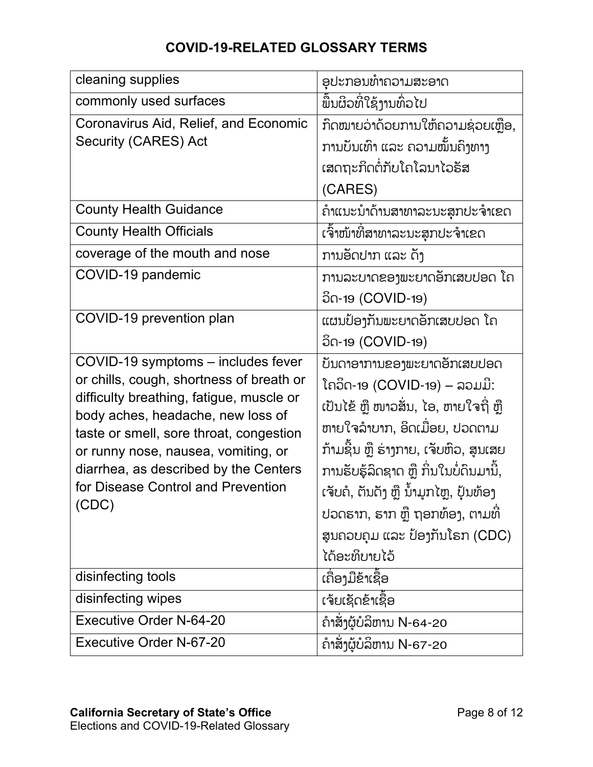## **COVID-19-RELATED GLOSSARY TERMS**

| cleaning supplies                                                                                                                                                                                                                                                                                                                         | ອຸປະກອນທຳຄວາມສະອາດ                                                                                                                                                                                                                                                                                                                                     |
|-------------------------------------------------------------------------------------------------------------------------------------------------------------------------------------------------------------------------------------------------------------------------------------------------------------------------------------------|--------------------------------------------------------------------------------------------------------------------------------------------------------------------------------------------------------------------------------------------------------------------------------------------------------------------------------------------------------|
| commonly used surfaces                                                                                                                                                                                                                                                                                                                    | ພື້ນຜິວທີ່ໃຊ້ງານທົ່ວໄປ                                                                                                                                                                                                                                                                                                                                 |
| Coronavirus Aid, Relief, and Economic<br><b>Security (CARES) Act</b>                                                                                                                                                                                                                                                                      | ກົດໝາຍວ່າດ້ວຍການໃຫ້ຄວາມຊ່ວຍເຫຼືອ,<br>ການບັນເທົາ ແລະ ຄວາມໝັ້ນຄົງທາງ<br>ເສດຖະກິດຕໍ່ກັບໂຄໂລນາໄວຣັສ<br>(CARES)                                                                                                                                                                                                                                             |
| <b>County Health Guidance</b>                                                                                                                                                                                                                                                                                                             | ຄຳແນະນຳດ້ານສາທາລະນະສຸກປະຈຳເຂດ                                                                                                                                                                                                                                                                                                                          |
| <b>County Health Officials</b>                                                                                                                                                                                                                                                                                                            | ເຈົ້າໜ້າທີ່ສາທາລະນະສຸກປະຈຳເຂດ                                                                                                                                                                                                                                                                                                                          |
| coverage of the mouth and nose                                                                                                                                                                                                                                                                                                            | ການອັດປາກ ແລະ ດັງ                                                                                                                                                                                                                                                                                                                                      |
| COVID-19 pandemic                                                                                                                                                                                                                                                                                                                         | ການລະບາດຂອງພະຍາດອັກເສບປອດ ໂຄ<br>อีก-19 (COVID-19)                                                                                                                                                                                                                                                                                                      |
| COVID-19 prevention plan                                                                                                                                                                                                                                                                                                                  | ແຜນປ້ອງກັນພະຍາດອັກເສບປອດ ໂຄ<br>ວິດ-19 (COVID-19)                                                                                                                                                                                                                                                                                                       |
| COVID-19 symptoms - includes fever<br>or chills, cough, shortness of breath or<br>difficulty breathing, fatigue, muscle or<br>body aches, headache, new loss of<br>taste or smell, sore throat, congestion<br>or runny nose, nausea, vomiting, or<br>diarrhea, as described by the Centers<br>for Disease Control and Prevention<br>(CDC) | ບັນດາອາການຂອງພະຍາດອັກເສບປອດ<br>ໂຄວິດ-19 (COVID-19) – ລວມມີ:<br>ເປັນໄຂ້ ຫຼື ໜາວສັ່ນ, ໄອ, ຫາຍໃຈຖີ່ ຫຼື<br>ຫາຍໃຈລຳບາກ, ອິດເມືອຍ, ປວດຕາມ<br>ກ້າມຊີນ ຫຼື ຮ່າງກາຍ, ເຈັບຫົວ, ສູນເສຍ<br>ການຮັບຮູ້ລິດຊາດ ຫຼື ກິ່ນໃນບໍ່ດິນມານີ້,<br>ເຈັບຄໍ, ຕັນດັງ ຫຼື ນ້ຳມຸກໄຫຼ, ປຸ້ນທ້ອງ<br>ປວດຮາກ, ຮາກ ຫຼື ຖອກທ້ອງ, ຕາມທີ່<br>ສູນຄວບຄຸມ ແລະ ປ້ອງກັນໂຣກ (CDC)<br>ໄດ້ອະທິບາຍໄວ້ |
| disinfecting tools                                                                                                                                                                                                                                                                                                                        | ເຄື່ອງມືຂ້າເຊື້ອ                                                                                                                                                                                                                                                                                                                                       |
| disinfecting wipes                                                                                                                                                                                                                                                                                                                        | ເຈ໋ຍເຊັດຂ້າເຊື້ອ                                                                                                                                                                                                                                                                                                                                       |
| <b>Executive Order N-64-20</b>                                                                                                                                                                                                                                                                                                            | ົຄາສັ່ງຜູ້ບໍລິຫານ N-64-20                                                                                                                                                                                                                                                                                                                              |
| Executive Order N-67-20                                                                                                                                                                                                                                                                                                                   | ຄຳສັ່ງຜູ້ບໍລິຫານ N-67-20                                                                                                                                                                                                                                                                                                                               |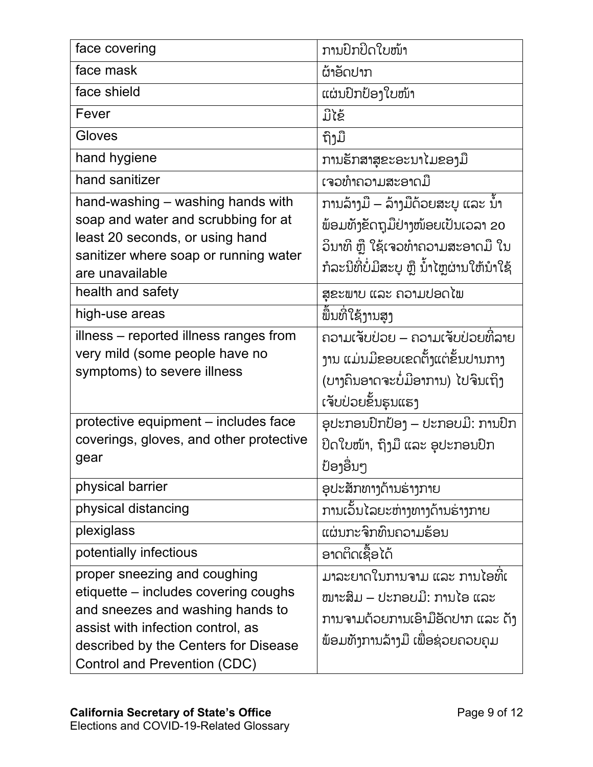| face covering                                                                                                                                                                                                         | ການປົກປິດໃບໜ້າ                                                                                                                                            |
|-----------------------------------------------------------------------------------------------------------------------------------------------------------------------------------------------------------------------|-----------------------------------------------------------------------------------------------------------------------------------------------------------|
| face mask                                                                                                                                                                                                             | ຜ້າອັດປາກ                                                                                                                                                 |
| face shield                                                                                                                                                                                                           | ແຜ່ນປົກປ້ອງໃບໜ້າ                                                                                                                                          |
| Fever                                                                                                                                                                                                                 | ມີໄຂ້                                                                                                                                                     |
| Gloves                                                                                                                                                                                                                | ້ຖິງມື                                                                                                                                                    |
| hand hygiene                                                                                                                                                                                                          | ການຮັກສາສຸຂະອະນາໄມຂອງມື                                                                                                                                   |
| hand sanitizer                                                                                                                                                                                                        | ເຈວທຳຄວາມສະອາດມື                                                                                                                                          |
| hand-washing – washing hands with<br>soap and water and scrubbing for at<br>least 20 seconds, or using hand<br>sanitizer where soap or running water<br>are unavailable                                               | ການລ້າງມື – ລ້າງມືດ້ວຍສະບຸ ແລະ ນ້ຳ<br>ພ້ອມທັງຂັດຖຸມືຢ່າງໜ້ອຍເປັນເວລາ 20<br>ວິນາທີ ຫຼື ໃຊ້ເຈວທຳຄວາມສະອາດມື ໃນ<br>ກໍລະນີທີ່ບໍ່ມີສະບູ ຫຼື ນ້ຳໄຫຼຜ່ານໃຫ້ນຳໃຊ້ |
| health and safety                                                                                                                                                                                                     | ສຸຂະພາບ ແລະ ຄວາມປອດໄພ                                                                                                                                     |
| high-use areas                                                                                                                                                                                                        | ພື້ນທີ່ໃຊ້ງານສູງ                                                                                                                                          |
| illness - reported illness ranges from<br>very mild (some people have no<br>symptoms) to severe illness                                                                                                               | ຄວາມເຈັບປ່ວຍ – ຄວາມເຈັບປ່ວຍທີ່ລາຍ<br>ງານ ແມ່ນມີຂອບເຂດຕັ້ງແຕ່ຂັ້ນປານກາງ<br>(ບາງຄິນອາດຈະບໍ່ມີອາການ) ໄປຈິນເຖິງ<br>ເຈັບປ່ວຍຂຶ້ນຮຸນແຮງ                         |
| protective equipment - includes face<br>coverings, gloves, and other protective<br>gear                                                                                                                               | ອຸປະກອນປົກປ້ອງ – ປະກອບມີ: ການປົກ<br>ປິດໃບໜ້າ, ຖຶງມື ແລະ ອຸປະກອນປົກ<br>ປ້ອງອື່ນໆ                                                                           |
| physical barrier                                                                                                                                                                                                      | ອຸປະສັກທາງດ້ານຣ່າງກາຍ                                                                                                                                     |
| physical distancing                                                                                                                                                                                                   | ການເວັ້ນໄລຍະຫ່າງທາງດ້ານຮ່າງກາຍ                                                                                                                            |
| plexiglass                                                                                                                                                                                                            | ແຜ່ນກະຈິກທຶນຄວາມຮ້ອນ                                                                                                                                      |
| potentially infectious                                                                                                                                                                                                | ອາດຕິດເຊື້ອໄດ້                                                                                                                                            |
| proper sneezing and coughing<br>etiquette – includes covering coughs<br>and sneezes and washing hands to<br>assist with infection control, as<br>described by the Centers for Disease<br>Control and Prevention (CDC) | ມາລະຍາດໃນການຈາມ ແລະ ການໄອທີ່ເ<br>ໜາະສິມ – ປະກອບມີ: ການໄອ ແລະ<br>ການຈາມດ້ວຍການເອົາມືອັດປາກ ແລະ ດັ່ງ<br>ພ້ອມທັງການລ້າງມື ເພື່ອຊ່ວຍຄວບຄຸມ                    |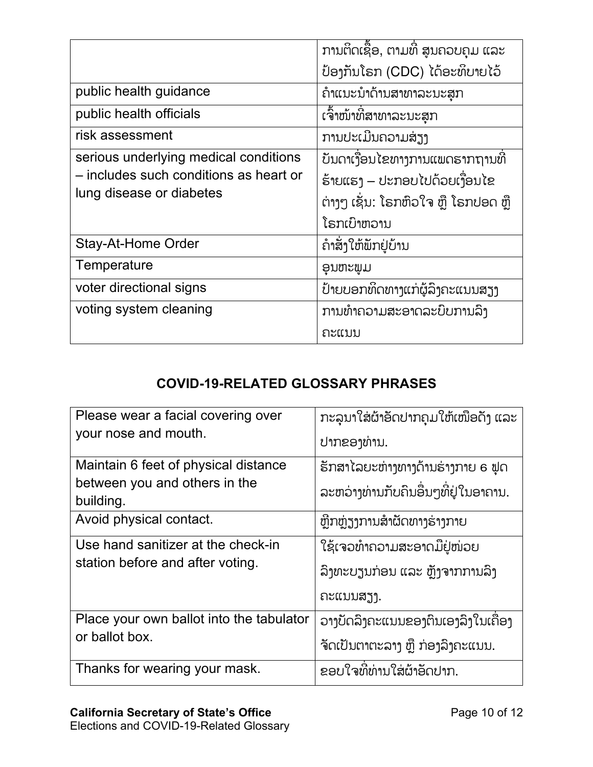|                                        | ການຕິດເຊື້ອ, ຕາມທີ່ ສູນຄວບຄຸມ ແລະ    |
|----------------------------------------|--------------------------------------|
|                                        | ປ້ອງກັນໂຣກ (CDC) ໄດ້ອະທິບາຍໄວ້       |
| public health guidance                 | ຄຳແນະນຳດ້ານສາທາລະນະສຸກ               |
| public health officials                | ເຈົ້າໜ້າທີ່ສາທາລະນະສຸກ               |
| risk assessment                        | ການປະເມີນຄວາມສ່ຽງ                    |
| serious underlying medical conditions  | ້ບັນດາເງື່ອນໄຂທາງການແພດຮາກຖານທີ່     |
| - includes such conditions as heart or | ຮ້າຍແຮງ – ປະກອບໄປດ້ວຍເງື່ອນໄຂ        |
| lung disease or diabetes               | ຕ່າງໆ ເຊັ່ນ: ໂຣກຫົວໃຈ ຫຼື ໂຣກປອດ ຫຼື |
|                                        | ໂຣກເບົາຫວານ                          |
| Stay-At-Home Order                     | ດຳສັ່ງໃຫ້ພັກຢູ່ບ້ານ                  |
| Temperature                            | ອິກພະຫາ                              |
| voter directional signs                | ້ປ່າຍບອກທິດທາງແກ່ຜູ້ລິງຄະແນນສຽງ      |
| voting system cleaning                 | ການທຳຄວາມສະອາດລະບົບການລົງ            |
|                                        | ຄະແນນ                                |

## **COVID-19-RELATED GLOSSARY PHRASES**

| Please wear a facial covering over         | ກະລຸນາໃສ່ຜ້າອັດປາກຄຸມໃຫ້ເໜືອດັ່ງ ແລະ |
|--------------------------------------------|--------------------------------------|
| your nose and mouth.                       | ປາກຂອງທ່ານ.                          |
| Maintain 6 feet of physical distance       | ຮັກສາໄລຍະຫ່າງທາງດ້ານຮ່າງກາຍ 6 ຟຸດ    |
| between you and others in the<br>building. | ລະຫວ່າງທ່ານກັບຄືນອື່ນໆທີ່ຢູ່ໃນອາຄານ. |
| Avoid physical contact.                    | ຫຼີກຫຼ່ຽງການສຳຜັດທາງຮ່າງກາຍ          |
| Use hand sanitizer at the check-in         | ີ ໃຊ້ເຈວທຳຄວາມສະອາດມືຢູ່ໜ່ວຍ         |
| station before and after voting.           | ້ລົງທະບຽນກ່ອນ ແລະ ຫຼັງຈາກການລົງ      |
|                                            | ຄະແນນສຽງ.                            |
| Place your own ballot into the tabulator   | ວາງບັດລິງຄະແນນຂອງຕິນເອງລິງໃນເຄື່ອງ   |
| or ballot box.                             | ຈັດເປັນຕາຕະລາງ ຫຼື ກ່ອງລຶງຄະແນນ.     |
| Thanks for wearing your mask.              | ຂອບໃຈທີ່ທ່ານໃສ່ຜ້າອັດປາກ.            |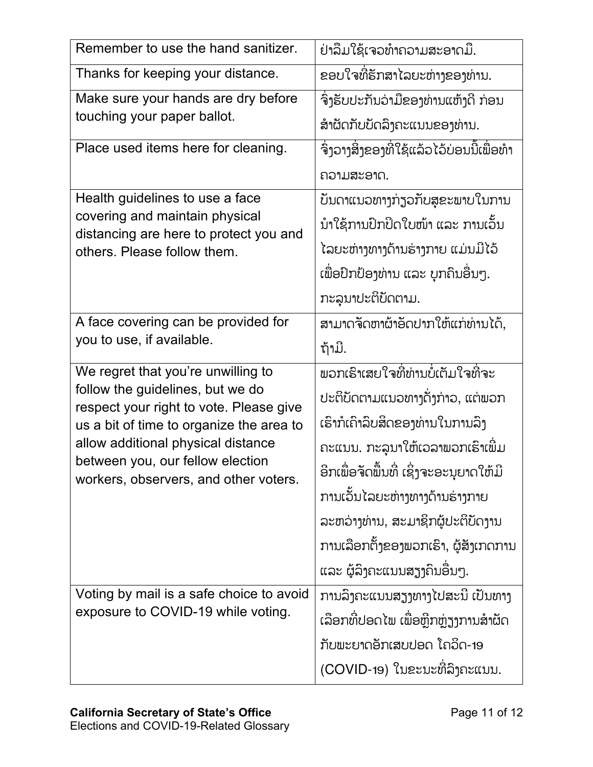| Remember to use the hand sanitizer.                                         | ຢ່າລືມໃຊ້ເຈວທໍາຄວາມສະອາດມື.               |
|-----------------------------------------------------------------------------|-------------------------------------------|
| Thanks for keeping your distance.                                           | ຂອບໃຈທີ່ຮັກສາໄລຍະຫ່າງຂອງທ່ານ.             |
| Make sure your hands are dry before                                         | ຈຶ່ງຮັບປະກັນວ່າມືຂອງທ່ານແຫ້ງດີ ກ່ອນ       |
| touching your paper ballot.                                                 | ສໍາຜັດກັບບັດລິງຄະແນນຂອງທ່ານ.              |
| Place used items here for cleaning.                                         | ຈຶ່ງວາງສິ່ງຂອງທີ່ໃຊ້ແລ້ວໄວ້ບ່ອນນີ້ເພື່ອທຳ |
|                                                                             | ຄວາມສະອາດ.                                |
| Health guidelines to use a face                                             | ບັນດາແນວທາງກ່ຽວກັບສຸຂະພາບໃນການ            |
| covering and maintain physical<br>distancing are here to protect you and    | ນຳໃຊ້ການປົກປິດໃບໜ້າ ແລະ ການເວັ້ນ          |
| others. Please follow them.                                                 | ໄລຍະຫ່າງທາງດ້ານຮ່າງກາຍ ແມ່ນມີໄວ້          |
|                                                                             | ເພື່ອປົກປ້ອງທ່ານ ແລະ ບຸກຄົນອື່ນໆ.         |
|                                                                             | ກະລຸນາປະຕິບັດຕາມ.                         |
| A face covering can be provided for                                         | ສາມາດຈັດຫາຜ້າອັດປາກໃຫ້ແກ່ທ່ານໄດ້,         |
| you to use, if available.                                                   | ຖ້າມີ.                                    |
| We regret that you're unwilling to                                          | พอກເຮົາເສຍໃຈທີ່ທ່ານບໍ່ເຕັມໃຈທີ່ຈະ         |
| follow the guidelines, but we do<br>respect your right to vote. Please give | ປະຕິບັດຕາມແນວທາງດັ່ງກ່າວ, ແຕ່ພວກ          |
| us a bit of time to organize the area to                                    | ເຮົາກໍເຄົາລິບສິດຂອງທ່ານໃນການລຶງ           |
| allow additional physical distance                                          | ຄະແນນ. ກະລຸນາໃຫ້ເວລາພວກເຮົາເພີ່ມ          |
| between you, our fellow election<br>workers, observers, and other voters.   | ອີກເພື່ອຈັດພື້ນທີ່ ເຊິ່ງຈະອະນຸຍາດໃຫ້ມີ    |
|                                                                             | ການເວັ້ນໄລຍະຫ່າງທາງດ້ານຮ່າງກາຍ            |
|                                                                             | ລະຫວ່າງທ່ານ, ສະມາຊິກຜູ້ປະຕິບັດງານ         |
|                                                                             | ການເລືອກຕັ້ງຂອງພວກເຮົາ, ຜູ້ສັງເກດການ      |
|                                                                             | ແລະ ຜູ້ລຶງຄະແນນສຽງຄືນອື່ນໆ.               |
| Voting by mail is a safe choice to avoid                                    | ການລຶງຄະແນນສຽງທາງໄປສະນີ ເປັນທາງ           |
| exposure to COVID-19 while voting.                                          | ເລືອກທີ່ປອດໄພ ເພື່ອຫຼີກຫຼ່ຽງການສຳຜັດ      |
|                                                                             | ້ກັບພະຍາດອັກເສບປອດ ໂຄວິດ-19               |
|                                                                             |                                           |